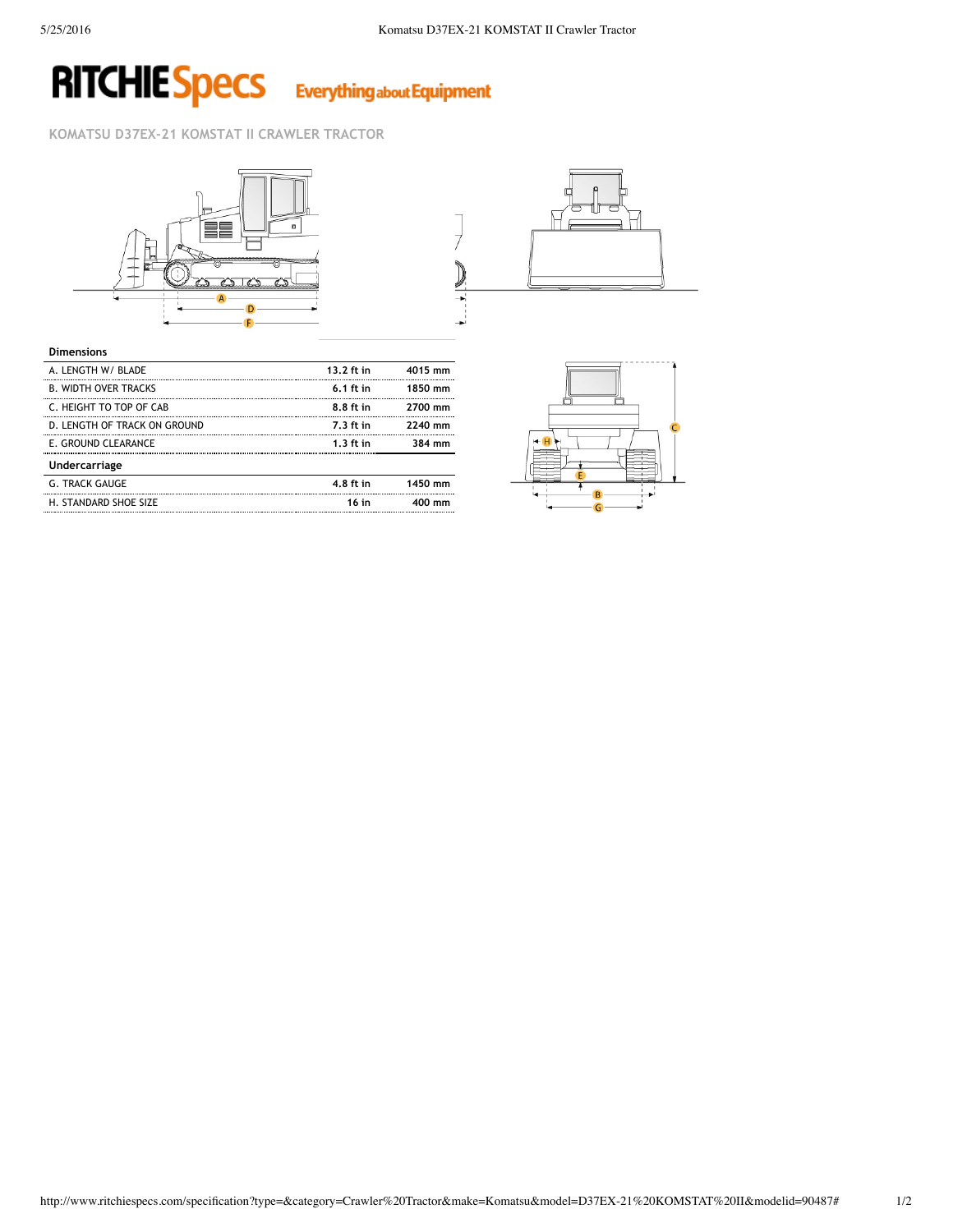## **RITCHIE Specs Everything about Equipment**

## **KOMATSU D37EX‐21 KOMSTAT II CRAWLER TRACTOR**





| <b>Dimensions</b>            |             |         |
|------------------------------|-------------|---------|
| A. LENGTH W/ BLADE           | 13.2 ft in  | 4015 mm |
| <b>B. WIDTH OVER TRACKS</b>  | $6.1$ ft in | 1850 mm |
| C. HEIGHT TO TOP OF CAB      | 8.8 ft in   | 2700 mm |
| D. LENGTH OF TRACK ON GROUND | $7.3$ ft in | 2240 mm |
| E. GROUND CLEARANCE          | $1.3$ ft in | 384 mm  |
| Undercarriage                |             |         |
| <b>G. TRACK GAUGE</b>        | 4.8 ft in   | 1450 mm |
| H. STANDARD SHOE SIZE        | 16 in       |         |
|                              |             |         |